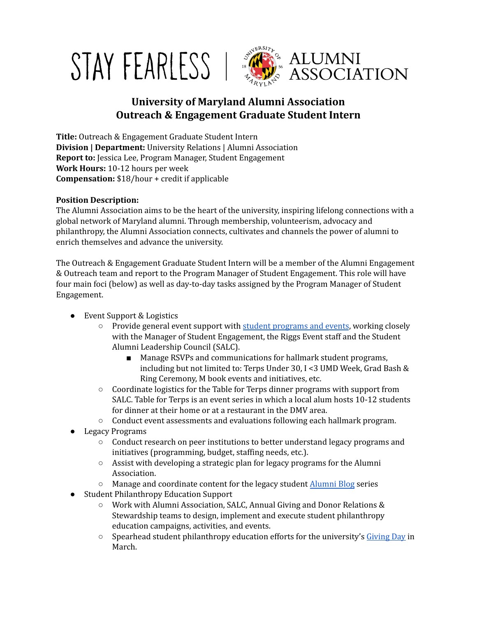



# **University of Maryland Alumni Association Outreach & Engagement Graduate Student Intern**

**Title:** Outreach & Engagement Graduate Student Intern **Division | Department:** University Relations | Alumni Association **Report to:** Jessica Lee, Program Manager, Student Engagement **Work Hours:** 10-12 hours per week **Compensation:** \$18/hour + credit if applicable

## **Position Description:**

The Alumni Association aims to be the heart of the university, inspiring lifelong connections with a global network of Maryland alumni. Through membership, volunteerism, advocacy and philanthropy, the Alumni Association connects, cultivates and channels the power of alumni to enrich themselves and advance the university.

The Outreach & Engagement Graduate Student Intern will be a member of the Alumni Engagement & Outreach team and report to the Program Manager of Student Engagement. This role will have four main foci (below) as well as day-to-day tasks assigned by the Program Manager of Student Engagement.

- Event Support & Logistics
	- Provide general event support with student [programs](https://www.salc.umd.edu/events) and events, working closely with the Manager of Student Engagement, the Riggs Event staff and the Student Alumni Leadership Council (SALC).
		- Manage RSVPs and communications for hallmark student programs, including but not limited to: Terps Under 30, I <3 UMD Week, Grad Bash & Ring Ceremony, M book events and initiatives, etc.
	- Coordinate logistics for the Table for Terps dinner programs with support from SALC. Table for Terps is an event series in which a local alum hosts 10-12 students for dinner at their home or at a restaurant in the DMV area.
	- $\circ$  Conduct event assessments and evaluations following each hallmark program.
- Legacy Programs
	- Conduct research on peer institutions to better understand legacy programs and initiatives (programming, budget, staffing needs, etc.).
	- Assist with developing a strategic plan for legacy programs for the Alumni Association.
	- Manage and coordinate content for the legacy student [Alumni](https://alumni.umd.edu/blog/alumni) Blog series
- **Student Philanthropy Education Support** 
	- Work with Alumni Association, SALC, Annual Giving and Donor Relations & Stewardship teams to design, implement and execute student philanthropy education campaigns, activities, and events.
	- $\circ$  Spearhead student philanthropy education efforts for the university's [Giving](https://givingday.umd.edu/) Day in March.